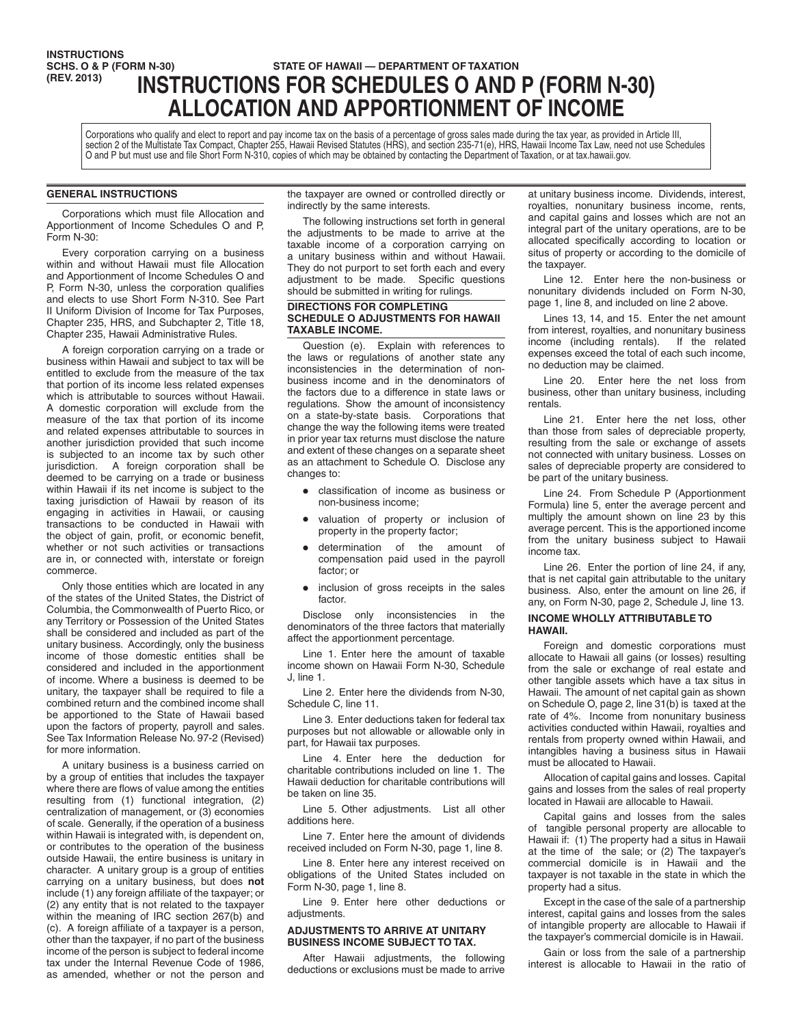# **INSTRUCTIONS<br>SCHS. O & P (FORM N-30) SCHS. O & P (FORM N-30) STATE OF HAWAII — DEPARTMENT OF TAXATION**<br> **(REV. 2013) INICTOLICTIONIC FOD COLLEDILLEC O AND (REV. 2013) INSTRUCTIONS FOR SCHEDULES O AND P (FORM N-30) ALLOCATION AND APPORTIONMENT OF INCOME**

Corporations who qualify and elect to report and pay income tax on the basis of a percentage of gross sales made during the tax year, as provided in Article III, section 2 of the Multistate Tax Compact, Chapter 255, Hawaii Revised Statutes (HRS), and section 235-71(e), HRS, Hawaii Income Tax Law, need not use Schedules O and P but must use and file Short Form N-310, copies of which may be obtained by contacting the Department of Taxation, or at tax.hawaii.gov.

# **GENERAL INSTRUCTIONS**

Corporations which must file Allocation and Apportionment of Income Schedules O and P, Form N-30:

Every corporation carrying on a business within and without Hawaii must file Allocation and Apportionment of Income Schedules O and P, Form N-30, unless the corporation qualifies and elects to use Short Form N-310. See Part II Uniform Division of Income for Tax Purposes, Chapter 235, HRS, and Subchapter 2, Title 18, Chapter 235, Hawaii Administrative Rules.

A foreign corporation carrying on a trade or business within Hawaii and subject to tax will be entitled to exclude from the measure of the tax that portion of its income less related expenses which is attributable to sources without Hawaii. A domestic corporation will exclude from the measure of the tax that portion of its income and related expenses attributable to sources in another jurisdiction provided that such income is subjected to an income tax by such other jurisdiction. A foreign corporation shall be deemed to be carrying on a trade or business within Hawaii if its net income is subject to the taxing jurisdiction of Hawaii by reason of its engaging in activities in Hawaii, or causing transactions to be conducted in Hawaii with the object of gain, profit, or economic benefit, whether or not such activities or transactions are in, or connected with, interstate or foreign commerce.

Only those entities which are located in any of the states of the United States, the District of Columbia, the Commonwealth of Puerto Rico, or any Territory or Possession of the United States shall be considered and included as part of the unitary business. Accordingly, only the business income of those domestic entities shall be considered and included in the apportionment of income. Where a business is deemed to be unitary, the taxpayer shall be required to file a combined return and the combined income shall be apportioned to the State of Hawaii based upon the factors of property, payroll and sales. See Tax Information Release No. 97-2 (Revised) for more information.

A unitary business is a business carried on by a group of entities that includes the taxpayer where there are flows of value among the entities resulting from (1) functional integration, (2) centralization of management, or (3) economies of scale. Generally, if the operation of a business within Hawaii is integrated with, is dependent on, or contributes to the operation of the business outside Hawaii, the entire business is unitary in character. A unitary group is a group of entities carrying on a unitary business, but does **not** include (1) any foreign affiliate of the taxpayer; or (2) any entity that is not related to the taxpayer within the meaning of IRC section 267(b) and (c). A foreign affiliate of a taxpayer is a person, other than the taxpayer, if no part of the business income of the person is subject to federal income tax under the Internal Revenue Code of 1986, as amended, whether or not the person and

the taxpayer are owned or controlled directly or indirectly by the same interests.

The following instructions set forth in general the adjustments to be made to arrive at the taxable income of a corporation carrying on a unitary business within and without Hawaii. They do not purport to set forth each and every adjustment to be made. Specific questions should be submitted in writing for rulings.

## **DIRECTIONS FOR COMPLETING SCHEDULE O ADJUSTMENTS FOR HAWAII TAXABLE INCOME.**

Question (e). Explain with references to the laws or regulations of another state any inconsistencies in the determination of nonbusiness income and in the denominators of the factors due to a difference in state laws or regulations. Show the amount of inconsistency on a state-by-state basis. Corporations that change the way the following items were treated in prior year tax returns must disclose the nature and extent of these changes on a separate sheet as an attachment to Schedule O. Disclose any changes to:

- classification of income as business or non-business income;
- valuation of property or inclusion of property in the property factor;
- determination of the amount of compensation paid used in the payroll factor; or
- inclusion of gross receipts in the sales factor.

Disclose only inconsistencies in the denominators of the three factors that materially affect the apportionment percentage.

Line 1. Enter here the amount of taxable income shown on Hawaii Form N-30, Schedule J, line 1.

Line 2. Enter here the dividends from N-30, Schedule C, line 11.

Line 3. Enter deductions taken for federal tax purposes but not allowable or allowable only in part, for Hawaii tax purposes.

Line 4. Enter here the deduction for charitable contributions included on line 1. The Hawaii deduction for charitable contributions will be taken on line 35.

Line 5. Other adjustments. List all other additions here.

Line 7. Enter here the amount of dividends received included on Form N-30, page 1, line 8.

Line 8. Enter here any interest received on obligations of the United States included on Form N-30, page 1, line 8.

Line 9. Enter here other deductions or adjustments

# **ADJUSTMENTS TO ARRIVE AT UNITARY BUSINESS INCOME SUBJECT TO TAX.**

After Hawaii adjustments, the following deductions or exclusions must be made to arrive

at unitary business income. Dividends, interest, royalties, nonunitary business income, rents, and capital gains and losses which are not an integral part of the unitary operations, are to be allocated specifically according to location or situs of property or according to the domicile of the taxpayer.

Line 12. Enter here the non-business or nonunitary dividends included on Form N-30, page 1, line 8, and included on line 2 above.

Lines 13, 14, and 15. Enter the net amount from interest, royalties, and nonunitary business income (including rentals). If the related expenses exceed the total of each such income, no deduction may be claimed.

Line 20. Enter here the net loss from business, other than unitary business, including rentals.

Line 21. Enter here the net loss, other than those from sales of depreciable property, resulting from the sale or exchange of assets not connected with unitary business. Losses on sales of depreciable property are considered to be part of the unitary business.

Line 24. From Schedule P (Apportionment Formula) line 5, enter the average percent and multiply the amount shown on line 23 by this average percent. This is the apportioned income from the unitary business subject to Hawaii income tax.

Line 26. Enter the portion of line 24, if any, that is net capital gain attributable to the unitary business. Also, enter the amount on line 26, if any, on Form N-30, page 2, Schedule J, line 13.

# **INCOME WHOLLY ATTRIBUTABLE TO HAWAII.**

Foreign and domestic corporations must allocate to Hawaii all gains (or losses) resulting from the sale or exchange of real estate and other tangible assets which have a tax situs in Hawaii. The amount of net capital gain as shown on Schedule O, page 2, line 31(b) is taxed at the rate of 4%. Income from nonunitary business activities conducted within Hawaii, royalties and rentals from property owned within Hawaii, and intangibles having a business situs in Hawaii must be allocated to Hawaii.

Allocation of capital gains and losses. Capital gains and losses from the sales of real property located in Hawaii are allocable to Hawaii.

Capital gains and losses from the sales of tangible personal property are allocable to Hawaii if: (1) The property had a situs in Hawaii at the time of the sale; or (2) The taxpayer's commercial domicile is in Hawaii and the taxpayer is not taxable in the state in which the property had a situs.

Except in the case of the sale of a partnership interest, capital gains and losses from the sales of intangible property are allocable to Hawaii if the taxpayer's commercial domicile is in Hawaii.

Gain or loss from the sale of a partnership interest is allocable to Hawaii in the ratio of